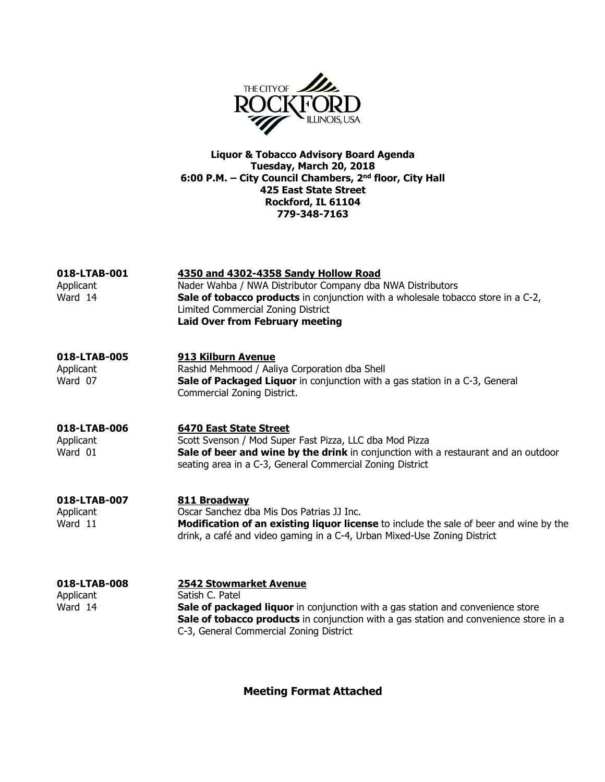

Liquor & Tobacco Advisory Board Agenda Tuesday, March 20, 2018 6:00 P.M. – City Council Chambers, 2nd floor, City Hall 425 East State Street Rockford, IL 61104 779-348-7163

| 018-LTAB-001<br>Applicant<br>Ward 14 | 4350 and 4302-4358 Sandy Hollow Road<br>Nader Wahba / NWA Distributor Company dba NWA Distributors<br><b>Sale of tobacco products</b> in conjunction with a wholesale tobacco store in a C-2,<br>Limited Commercial Zoning District<br><b>Laid Over from February meeting</b> |
|--------------------------------------|-------------------------------------------------------------------------------------------------------------------------------------------------------------------------------------------------------------------------------------------------------------------------------|
| 018-LTAB-005<br>Applicant<br>Ward 07 | 913 Kilburn Avenue<br>Rashid Mehmood / Aaliya Corporation dba Shell<br>Sale of Packaged Liquor in conjunction with a gas station in a C-3, General<br>Commercial Zoning District.                                                                                             |
| 018-LTAB-006<br>Applicant<br>Ward 01 | 6470 East State Street<br>Scott Svenson / Mod Super Fast Pizza, LLC dba Mod Pizza<br>Sale of beer and wine by the drink in conjunction with a restaurant and an outdoor<br>seating area in a C-3, General Commercial Zoning District                                          |
| 018-LTAB-007<br>Applicant<br>Ward 11 | 811 Broadway<br>Oscar Sanchez dba Mis Dos Patrias JJ Inc.<br>Modification of an existing liquor license to include the sale of beer and wine by the<br>drink, a café and video gaming in a C-4, Urban Mixed-Use Zoning District                                               |
| 018-LTAB-008<br>Applicant<br>Ward 14 | <b>2542 Stowmarket Avenue</b><br>Satish C. Patel<br>Sale of packaged liquor in conjunction with a gas station and convenience store<br>Sale of tobacco products in conjunction with a gas station and convenience store in a<br>C-3, General Commercial Zoning District       |

Meeting Format Attached